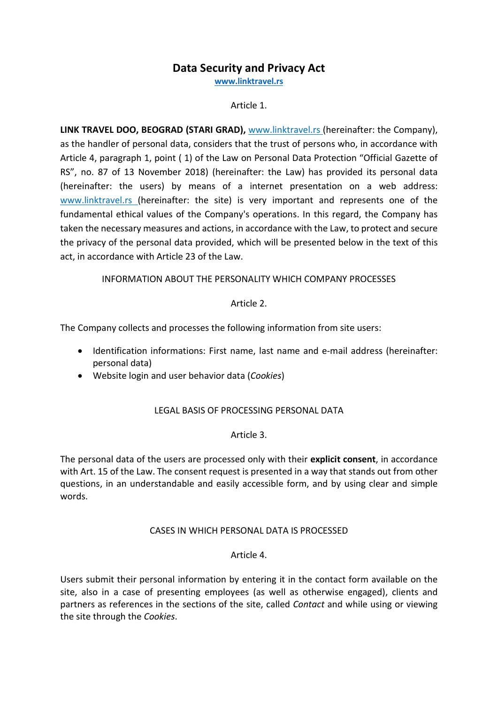# Data Security and Privacy Act

www.linktravel.rs

## Article 1.

LINK TRAVEL DOO, BEOGRAD (STARI GRAD), www.linktravel.rs (hereinafter: the Company), as the handler of personal data, considers that the trust of persons who, in accordance with Article 4, paragraph 1, point ( 1) of the Law on Personal Data Protection "Official Gazette of RS", no. 87 of 13 November 2018) (hereinafter: the Law) has provided its personal data (hereinafter: the users) by means of a internet presentation on a web address: www.linktravel.rs (hereinafter: the site) is very important and represents one of the fundamental ethical values of the Company's operations. In this regard, the Company has taken the necessary measures and actions, in accordance with the Law, to protect and secure the privacy of the personal data provided, which will be presented below in the text of this act, in accordance with Article 23 of the Law.

## INFORMATION ABOUT THE PERSONALITY WHICH COMPANY PROCESSES

## Article 2.

The Company collects and processes the following information from site users:

- Identification informations: First name, last name and e-mail address (hereinafter: personal data)
- Website login and user behavior data (Cookies)

## LEGAL BASIS OF PROCESSING PERSONAL DATA

## Article 3.

The personal data of the users are processed only with their explicit consent, in accordance with Art. 15 of the Law. The consent request is presented in a way that stands out from other questions, in an understandable and easily accessible form, and by using clear and simple words.

## CASES IN WHICH PERSONAL DATA IS PROCESSED

## Article 4.

Users submit their personal information by entering it in the contact form available on the site, also in a case of presenting employees (as well as otherwise engaged), clients and partners as references in the sections of the site, called Contact and while using or viewing the site through the Cookies.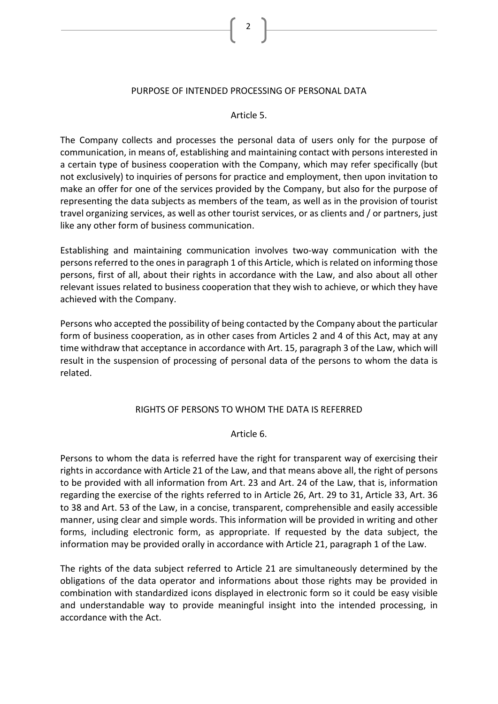#### PURPOSE OF INTENDED PROCESSING OF PERSONAL DATA

#### Article 5.

The Company collects and processes the personal data of users only for the purpose of communication, in means of, establishing and maintaining contact with persons interested in a certain type of business cooperation with the Company, which may refer specifically (but not exclusively) to inquiries of persons for practice and employment, then upon invitation to make an offer for one of the services provided by the Company, but also for the purpose of representing the data subjects as members of the team, as well as in the provision of tourist travel organizing services, as well as other tourist services, or as clients and / or partners, just like any other form of business communication.

Establishing and maintaining communication involves two-way communication with the persons referred to the ones in paragraph 1 of this Article, which is related on informing those persons, first of all, about their rights in accordance with the Law, and also about all other relevant issues related to business cooperation that they wish to achieve, or which they have achieved with the Company.

Persons who accepted the possibility of being contacted by the Company about the particular form of business cooperation, as in other cases from Articles 2 and 4 of this Act, may at any time withdraw that acceptance in accordance with Art. 15, paragraph 3 of the Law, which will result in the suspension of processing of personal data of the persons to whom the data is related.

## RIGHTS OF PERSONS TO WHOM THE DATA IS REFERRED

#### Article 6.

Persons to whom the data is referred have the right for transparent way of exercising their rights in accordance with Article 21 of the Law, and that means above all, the right of persons to be provided with all information from Art. 23 and Art. 24 of the Law, that is, information regarding the exercise of the rights referred to in Article 26, Art. 29 to 31, Article 33, Art. 36 to 38 and Art. 53 of the Law, in a concise, transparent, comprehensible and easily accessible manner, using clear and simple words. This information will be provided in writing and other forms, including electronic form, as appropriate. If requested by the data subject, the information may be provided orally in accordance with Article 21, paragraph 1 of the Law.

The rights of the data subject referred to Article 21 are simultaneously determined by the obligations of the data operator and informations about those rights may be provided in combination with standardized icons displayed in electronic form so it could be easy visible and understandable way to provide meaningful insight into the intended processing, in accordance with the Act.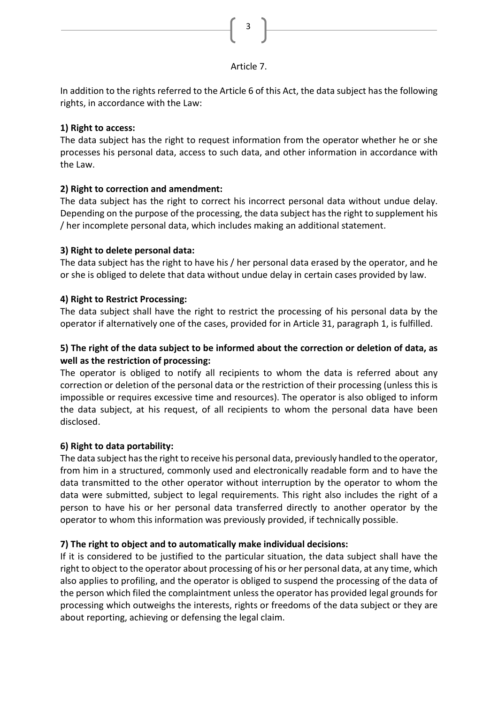

## Article 7.

In addition to the rights referred to the Article 6 of this Act, the data subject has the following rights, in accordance with the Law:

# 1) Right to access:

The data subject has the right to request information from the operator whether he or she processes his personal data, access to such data, and other information in accordance with the Law.

# 2) Right to correction and amendment:

The data subject has the right to correct his incorrect personal data without undue delay. Depending on the purpose of the processing, the data subject has the right to supplement his / her incomplete personal data, which includes making an additional statement.

# 3) Right to delete personal data:

The data subject has the right to have his / her personal data erased by the operator, and he or she is obliged to delete that data without undue delay in certain cases provided by law.

# 4) Right to Restrict Processing:

The data subject shall have the right to restrict the processing of his personal data by the operator if alternatively one of the cases, provided for in Article 31, paragraph 1, is fulfilled.

# 5) The right of the data subject to be informed about the correction or deletion of data, as well as the restriction of processing:

The operator is obliged to notify all recipients to whom the data is referred about any correction or deletion of the personal data or the restriction of their processing (unless this is impossible or requires excessive time and resources). The operator is also obliged to inform the data subject, at his request, of all recipients to whom the personal data have been disclosed.

# 6) Right to data portability:

The data subject has the right to receive his personal data, previously handled to the operator, from him in a structured, commonly used and electronically readable form and to have the data transmitted to the other operator without interruption by the operator to whom the data were submitted, subject to legal requirements. This right also includes the right of a person to have his or her personal data transferred directly to another operator by the operator to whom this information was previously provided, if technically possible.

# 7) The right to object and to automatically make individual decisions:

If it is considered to be justified to the particular situation, the data subject shall have the right to object to the operator about processing of his or her personal data, at any time, which also applies to profiling, and the operator is obliged to suspend the processing of the data of the person which filed the complaintment unless the operator has provided legal grounds for processing which outweighs the interests, rights or freedoms of the data subject or they are about reporting, achieving or defensing the legal claim.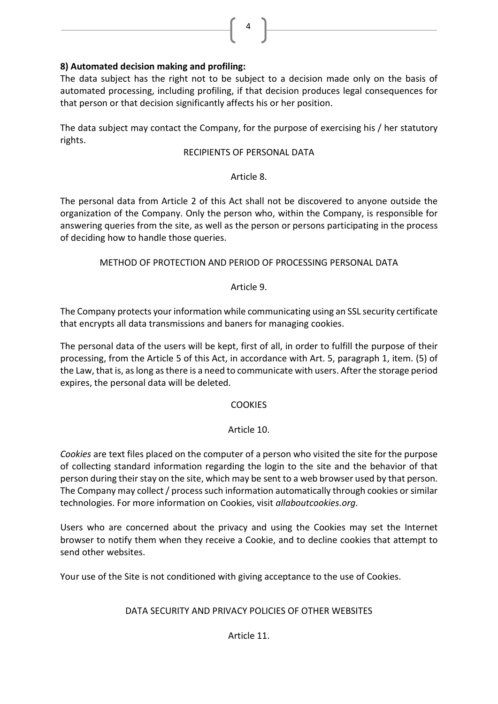# 8) Automated decision making and profiling:

The data subject has the right not to be subject to a decision made only on the basis of automated processing, including profiling, if that decision produces legal consequences for that person or that decision significantly affects his or her position.

4

The data subject may contact the Company, for the purpose of exercising his / her statutory rights.

## RECIPIENTS OF PERSONAL DATA

## Article 8.

The personal data from Article 2 of this Act shall not be discovered to anyone outside the organization of the Company. Only the person who, within the Company, is responsible for answering queries from the site, as well as the person or persons participating in the process of deciding how to handle those queries.

# METHOD OF PROTECTION AND PERIOD OF PROCESSING PERSONAL DATA

# Article 9.

The Company protects your information while communicating using an SSL security certificate that encrypts all data transmissions and baners for managing cookies.

The personal data of the users will be kept, first of all, in order to fulfill the purpose of their processing, from the Article 5 of this Act, in accordance with Art. 5, paragraph 1, item. (5) of the Law, that is, as long as there is a need to communicate with users. After the storage period expires, the personal data will be deleted.

# **COOKIES**

# Article 10.

Cookies are text files placed on the computer of a person who visited the site for the purpose of collecting standard information regarding the login to the site and the behavior of that person during their stay on the site, which may be sent to a web browser used by that person. The Company may collect / process such information automatically through cookies or similar technologies. For more information on Cookies, visit allaboutcookies.org.

Users who are concerned about the privacy and using the Cookies may set the Internet browser to notify them when they receive a Cookie, and to decline cookies that attempt to send other websites.

Your use of the Site is not conditioned with giving acceptance to the use of Cookies.

# DATA SECURITY AND PRIVACY POLICIES OF OTHER WEBSITES

# Article 11.